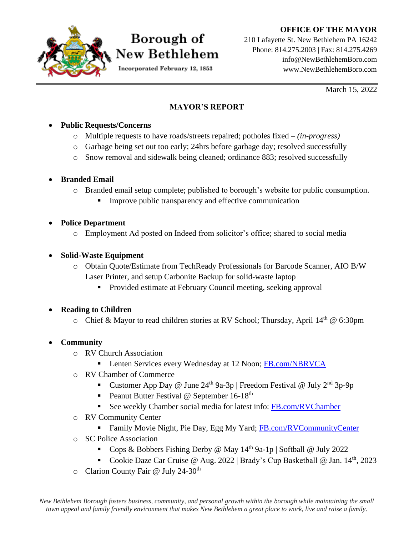#### **OFFICE OF THE MAYOR**



# Borough of New Bethlehem

Incorporated February 12, 1853

210 Lafayette St. New Bethlehem PA 16242 Phone: 814.275.2003 | Fax: 814.275.4269 info@NewBethlehemBoro.com www.NewBethlehemBoro.com

March 15, 2022

#### **MAYOR'S REPORT**

#### • **Public Requests/Concerns**

- o Multiple requests to have roads/streets repaired; potholes fixed *(in-progress)*
- o Garbage being set out too early; 24hrs before garbage day; resolved successfully
- o Snow removal and sidewalk being cleaned; ordinance 883; resolved successfully

### • **Branded Email**

- o Branded email setup complete; published to borough's website for public consumption.
	- Improve public transparency and effective communication

### • **Police Department**

o Employment Ad posted on Indeed from solicitor's office; shared to social media

### • **Solid-Waste Equipment**

- o Obtain Quote/Estimate from TechReady Professionals for Barcode Scanner, AIO B/W Laser Printer, and setup Carbonite Backup for solid-waste laptop
	- Provided estimate at February Council meeting, seeking approval

## • **Reading to Children**

o Chief & Mayor to read children stories at RV School; Thursday, April  $14<sup>th</sup>$  @ 6:30pm

## • **Community**

- o RV Church Association
	- **EXECUTE:** Lenten Services every Wednesday at 12 Noon; [FB.com/NBRVCA](http://fb.com/NBRVCA)
- o RV Chamber of Commerce
	- Customer App Day @ June  $24^{th}$  9a-3p | Freedom Festival @ July  $2^{nd}$  3p-9p
	- **•** Peanut Butter Festival @ September  $16-18^{th}$
	- See weekly Chamber social media for latest info: FB.com/RVChamber
- o RV Community Center
	- Family Movie Night, Pie Day, Egg My Yard; [FB.com/RVCommunityCenter](http://facebook.com/RVCommunityCenter)
- o SC Police Association
	- Cops & Bobbers Fishing Derby @ May  $14<sup>th</sup>$  9a-1p | Softball @ July 2022
	- Cookie Daze Car Cruise @ Aug. 2022 | Brady's Cup Basketball @ Jan.  $14<sup>th</sup>$ , 2023
- o Clarion County Fair @ July 24-30th